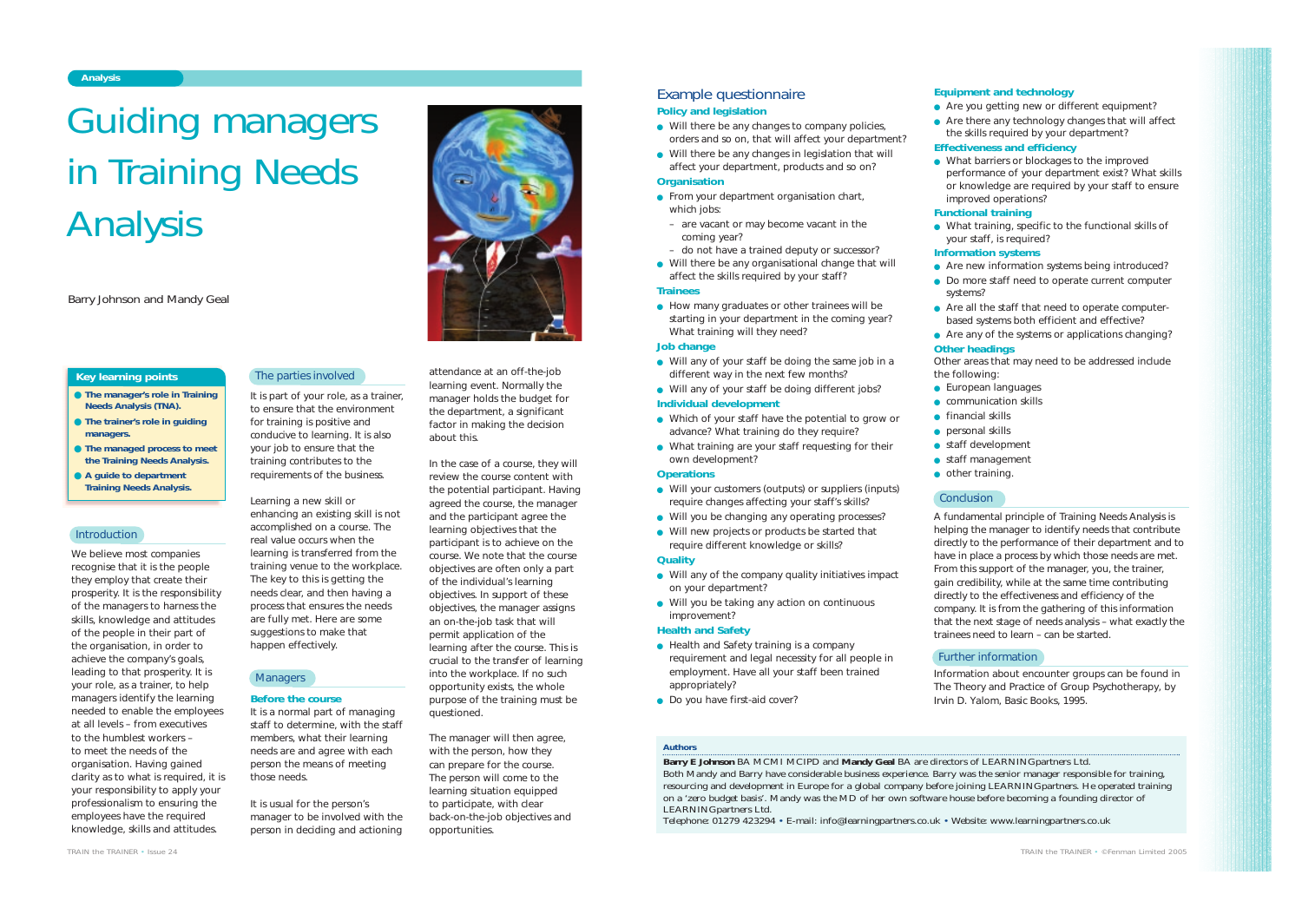We believe most companies recognise that it is the people they employ that create their prosperity. It is the responsibility of the managers to harness the skills, knowledge and attitudes of the people in their part of the organisation, in order to achieve the company's goals, leading to that prosperity. It is your role, as a trainer, to help managers identify the learning needed to enable the employees at all levels – from executives to the humblest workers – to meet the needs of the organisation. Having gained clarity as to what is required, it is your responsibility to apply your professionalism to ensuring the employees have the required knowledge, skills and attitudes.

It is part of your role, as a trainer, to ensure that the environment for training is positive and conducive to learning. It is also your job to ensure that the training contributes to the requirements of the business.

Learning a new skill or enhancing an existing skill is not accomplished on a course. The real value occurs when the learning is transferred from the training venue to the workplace. The key to this is getting the needs clear, and then having a process that ensures the needs are fully met. Here are some suggestions to make that happen effectively.

# **Managers**

### **Before the course**

It is a normal part of managing staff to determine, with the staff members, what their learning needs are and agree with each person the means of meeting those needs.

It is usual for the person's manager to be involved with the person in deciding and actioning

attendance at an off-the-job learning event. Normally the manager holds the budget for the department, a significant factor in making the decision about this.

- Will there be any changes to company policies. orders and so on, that will affect your department?
- Will there be any changes in legislation that will affect your department, products and so on?

- From your department organisation chart, which jobs:
- are vacant or may become vacant in the coming year?
- do not have a trained deputy or successor?
- Will there be any organisational change that will affect the skills required by your staff?

In the case of a course, they will review the course content with the potential participant. Having agreed the course, the manager and the participant agree the learning objectives that the participant is to achieve on the course. We note that the course objectives are often only a part of the individual's learning objectives. In support of these objectives, the manager assigns an on-the-job task that will permit application of the learning after the course. This is crucial to the transfer of learning into the workplace. If no such opportunity exists, the whole purpose of the training must be questioned.

● How many graduates or other trainees will be starting in your department in the coming year? What training will they need?

- Health and Safety training is a company requirement and legal necessity for all people in employment. Have all your staff been trained appropriately?
- Do you have first-aid cover?

The manager will then agree, with the person, how they can prepare for the course. The person will come to the learning situation equipped to participate, with clear back-on-the-job objectives and opportunities.

# **Analysis**

*TRAIN the TRAINER • Issue 24*



● Are you getting new or different equipment? ● Are there any technology changes that will affect the skills required by your department?

- **The manager's role in Training Needs Analysis (TNA).**
- **The trainer's role in guiding managers.**
- **The managed process to meet the Training Needs Analysis.**
- A quide to department **Training Needs Analysis.**

### **Introduction**

● What barriers or blockages to the improved performance of your department exist? What skills or knowledge are required by your staff to ensure improved operations?

### **Key learning points**

# *Authors*

● Are all the staff that need to operate computerbased systems both efficient and effective?

- the following: ● European languages
- communication skills
- financial skills
	- personal skills
- - other training.

# **Conclusion**

**Barry E Johnson** BA MCMI MCIPD and **Mandy Geal** BA are directors of LEARNING*partners* Ltd. Both Mandy and Barry have considerable business experience. Barry was the senior manager responsible for training, resourcing and development in Europe for a global company before joining LEARNING*partners*. He operated training on a 'zero budget basis'. Mandy was the MD of her own software house before becoming a founding director of LEARNING*partners* Ltd.

Telephone: 01279 423294 • E-mail: info@learningpartners.co.uk • Website: www.learningpartners.co.uk

- 
- 
- 

# Guiding managers in Training Needs Analysis

*Barry Johnson and Mandy Geal*

# Example questionnaire

### **Policy and legislation**

# **Organisation**

# **Trainees**

### **Job change**

- Will any of your staff be doing the same job in a different way in the next few months?
- Will any of your staff be doing different jobs? **Individual development**
- Which of your staff have the potential to grow or advance? What training do they require?
- What training are your staff requesting for their own development?

### **Operations**

- Will your customers (outputs) or suppliers (inputs) require changes affecting your staff's skills?
- Will you be changing any operating processes?
- Will new projects or products be started that require different knowledge or skills?

# **Quality**

- Will any of the company quality initiatives impact on your department?
- Will you be taking any action on continuous improvement?

### **Health and Safety**

# **Equipment and technology**

# **Effectiveness and efficiency**

# **Functional training**

● What training, specific to the functional skills of your staff, is required?

# **Information systems**

● Are new information systems being introduced? ● Do more staff need to operate current computer

- 
- - systems?
	-

● Are any of the systems or applications changing? **Other headings**

Other areas that may need to be addressed include

● staff development

● staff management

A fundamental principle of Training Needs Analysis is helping the manager to identify needs that contribute directly to the performance of their department and to have in place a process by which those needs are met. From this support of the manager, you, the trainer, gain credibility, while at the same time contributing directly to the effectiveness and efficiency of the company. It is from the gathering of this information that the next stage of needs analysis – what exactly the trainees need to learn – can be started.

Information about encounter groups can be found in *The Theory and Practice of Group Psychotherapy*, by Irvin D. Yalom, Basic Books, 1995.

# The parties involved

## Further information